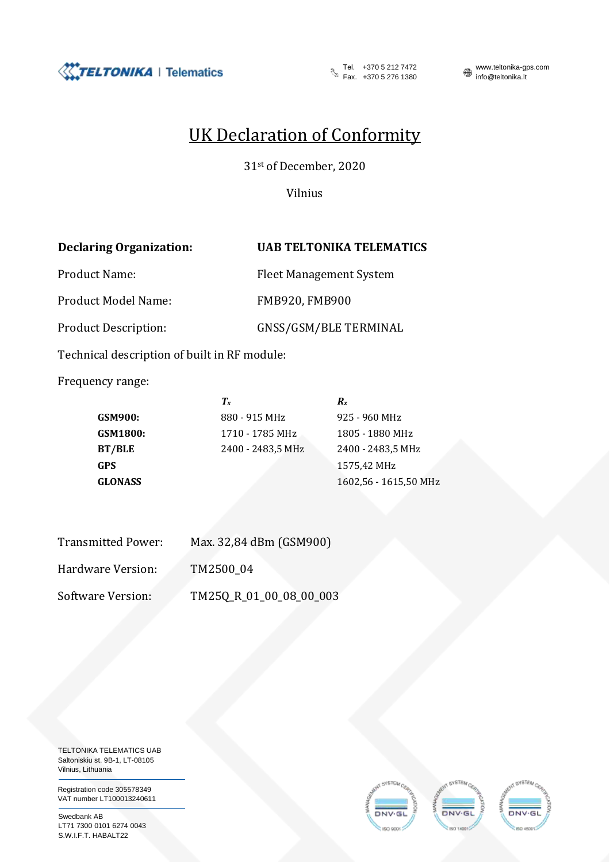

Fel. +370 5 276 1380

Tel. +370 5 212 7472 www.teltonika-gps.com<br>Fax. +370 5 276 1380 mfo@teltonika.lt

## UK Declaration of Conformity

31st of December, 2020

Vilnius

## **Declaring Organization: UAB TELTONIKA TELEMATICS**

Product Name: Fleet Management System

Product Model Name: FMB920, FMB900

Product Description: GNSS/GSM/BLE TERMINAL

Technical description of built in RF module:

Frequency range:

|                | $T_{x}$           | $R_{x}$               |
|----------------|-------------------|-----------------------|
| GSM900:        | 880 - 915 MHz     | 925 - 960 MHz         |
| GSM1800:       | 1710 - 1785 MHz   | 1805 - 1880 MHz       |
| BT/BLE         | 2400 - 2483,5 MHz | 2400 - 2483,5 MHz     |
| GPS            |                   | 1575,42 MHz           |
| <b>GLONASS</b> |                   | 1602,56 - 1615,50 MHz |
|                |                   |                       |

| <b>Transmitted Power:</b> | Max. 32,84 dBm (GSM900) |
|---------------------------|-------------------------|
| Hardware Version:         | TM2500 04               |
| Software Version:         | TM25Q_R_01_00_08_00_003 |

TELTONIKA TELEMATICS UAB Saltoniskiu st. 9B-1, LT-08105 Vilnius, Lithuania

Registration code 305578349 VAT number LT100013240611

Swedbank AB LT71 7300 0101 6274 0043 S.W.I.F.T. HABALT22